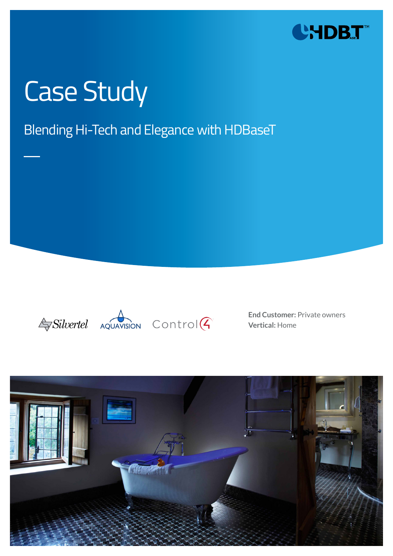

# Case Study

### Blending Hi-Tech and Elegance with HDBaseT





**End Customer:** Private owners **Vertical:** Home